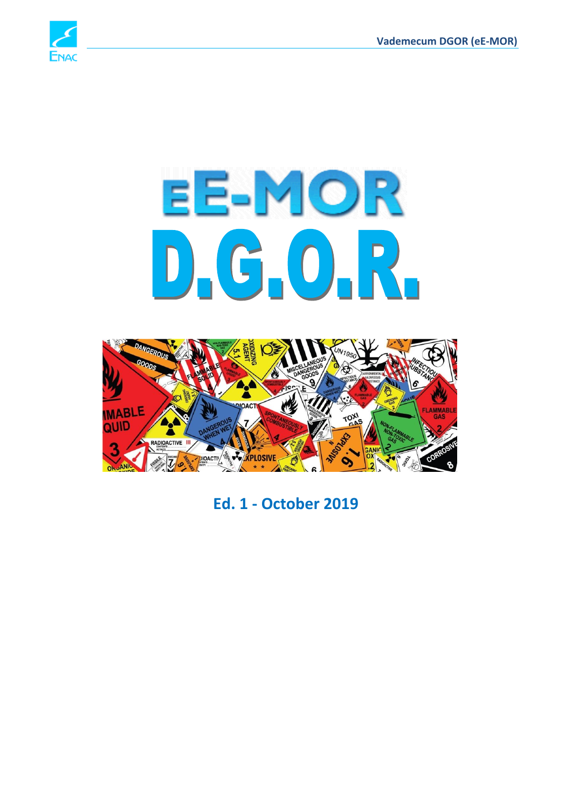



**Ed. 1 - October 2019**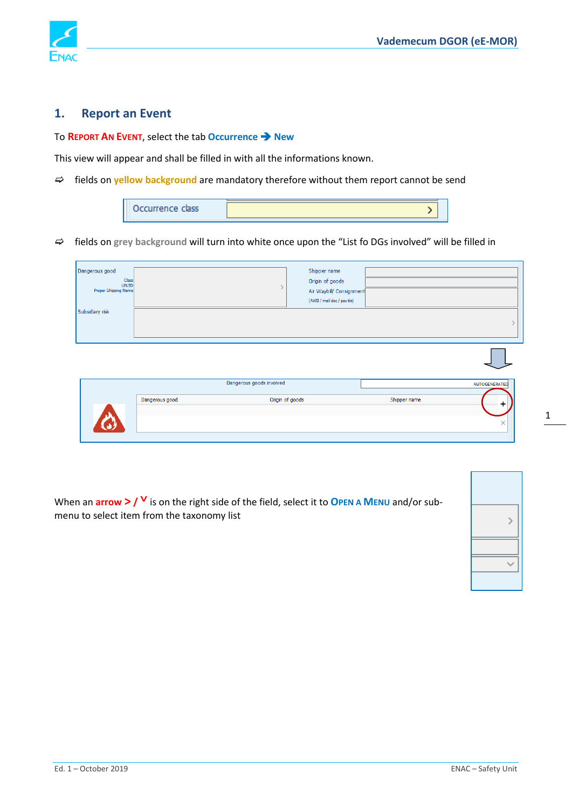

## **1. Report an Event**

 $\omega$ 

To **REPORT AN EVENT**, select the tab **Occurrence New**

This view will appear and shall be filled in with all the informations known.

fields on **yellow background** are mandatory therefore without them report cannot be send

fields on **grey background** will turn into white once upon the "List fo DGs involved" will be filled in

| Dangerous good<br>Class<br>UN/ID<br><b>Proper Shipping Name</b> |                          | Shipper name<br>Origin of goods<br>Air Waybill/ Consignment<br>(AWB / mail doc / pax tkt) |              |                      |
|-----------------------------------------------------------------|--------------------------|-------------------------------------------------------------------------------------------|--------------|----------------------|
| Subsidiary risk                                                 |                          |                                                                                           |              |                      |
|                                                                 |                          |                                                                                           |              |                      |
|                                                                 | Dangerous goods involved |                                                                                           |              | <b>AUTOGENERATED</b> |
|                                                                 | Dangerous good           | Origin of goods                                                                           | Shipper name |                      |

1

| b |
|---|
|   |
|   |
|   |

When an **arrow > / <sup>V</sup>** is on the right side of the field, select it to **OPEN A MENU** and/or submenu to select item from the taxonomy list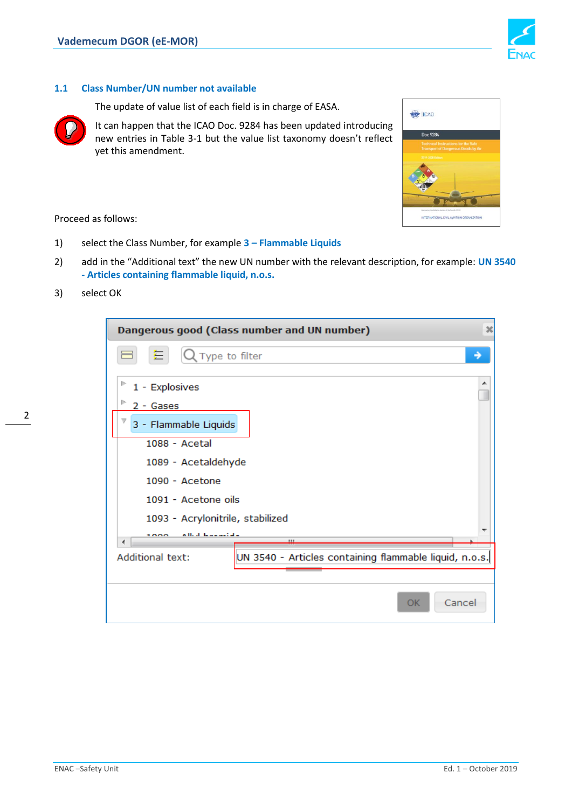#### **1.1 Class Number/UN number not available**

The update of value list of each field is in charge of EASA.

It can happen that the ICAO Doc. 9284 has been updated introducing new entries in Table 3-1 but the value list taxonomy doesn't reflect yet this amendment.



Proceed as follows:

- 1) select the Class Number, for example **3 – Flammable Liquids**
- 2) add in the "Additional text" the new UN number with the relevant description, for example: **UN 3540 - Articles containing flammable liquid, n.o.s.**
- 3) select OK

|                                        | Dangerous good (Class number and UN number)<br>$\boldsymbol{\varkappa}$ |
|----------------------------------------|-------------------------------------------------------------------------|
| $\lambda$ Type to filter<br>- 三<br>6   |                                                                         |
| 1 - Explosives                         |                                                                         |
| 2 - Gases                              |                                                                         |
| v<br>3 - Flammable Liquids             |                                                                         |
| $1088 - A$                             |                                                                         |
| 1089 - Acetaldehyde                    |                                                                         |
| $1090 -$ Acetone                       |                                                                         |
| 1091 - Acetone oils                    |                                                                         |
| 1093 - Acrylonitrile, stabilized       |                                                                         |
| with all the momental of<br>$\sqrt{2}$ | ш                                                                       |
| <b>Additional text:</b>                | UN 3540 - Articles containing flammable liquid, n.o.s.                  |
|                                        |                                                                         |
|                                        | Cancel<br>ОК                                                            |

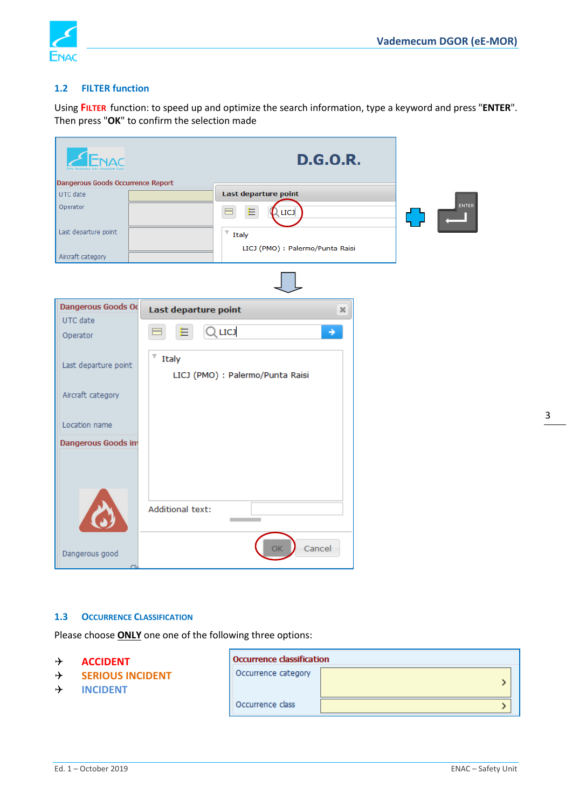



#### **1.2 FILTER function**

Using **FILTER** function: to speed up and optimize the search information, type a keyword and press "**ENTER**". Then press "**OK**" to confirm the selection made

|                                   | <b>D.G.O.R.</b>                                                      |             |                                  |
|-----------------------------------|----------------------------------------------------------------------|-------------|----------------------------------|
| Dangerous Goods Occurrence Report |                                                                      |             |                                  |
| UTC date                          | Last departure point                                                 |             |                                  |
| Operator                          | 生<br>$Q$ LICJ<br>巪                                                   | $\bigoplus$ | ENTE<br>$\overline{\phantom{a}}$ |
| Last departure point              | $\overline{\phantom{a}}$ Italy                                       |             |                                  |
| Aircraft category                 | LICJ (PMO) : Palermo/Punta Raisi                                     |             |                                  |
|                                   |                                                                      |             |                                  |
| Dangerous Goods Oc                | Last departure point<br>$\boldsymbol{\times}$                        |             |                                  |
| UTC date                          |                                                                      |             |                                  |
| Operator                          | $Q$ LICJ<br>$\rightarrow$<br>年                                       |             |                                  |
| Last departure point              | $\overline{\mathbb{V}}$<br>Italy<br>LICJ (PMO) : Palermo/Punta Raisi |             |                                  |
| Aircraft category                 |                                                                      |             |                                  |
| Location name                     |                                                                      |             |                                  |
| Dangerous Goods in                |                                                                      |             |                                  |
| Dangerous good                    | Additional text:<br>٠<br>Cancel<br>OK                                |             |                                  |

#### **1.3 OCCURRENCE CLASSIFICATION**

Please choose **ONLY** one one of the following three options:

Ï

- **ACCIDENT**
- **SERIOUS INCIDENT**
- **INCIDENT**

| <b>Dccurrence classification</b> |  |  |  |  |  |
|----------------------------------|--|--|--|--|--|
| Occurrence category              |  |  |  |  |  |
| Occurrence class                 |  |  |  |  |  |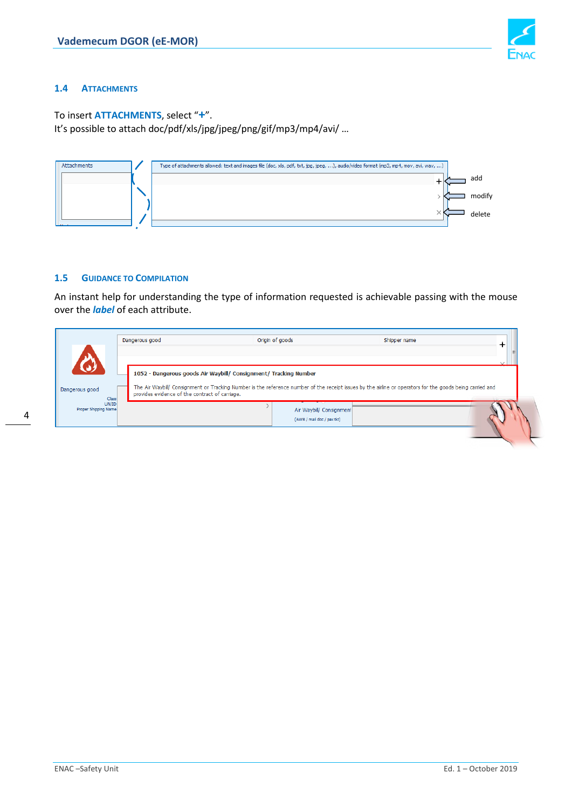

#### **1.4 ATTACHMENTS**

### To insert **ATTACHMENTS**, select "**+**".

It's possible to attach doc/pdf/xls/jpg/jpeg/png/gif/mp3/mp4/avi/ …

| Attachments | Type of attachments allowed: text and images file (doc, xls, pdf, txt, jpg, jpeg, ), audio/video format (mp3, mp4, mov, avi, wav, ) |        |
|-------------|-------------------------------------------------------------------------------------------------------------------------------------|--------|
|             |                                                                                                                                     | add    |
|             |                                                                                                                                     | modify |
|             |                                                                                                                                     |        |
| .           |                                                                                                                                     | delete |

#### **1.5 GUIDANCE TO COMPILATION**

An instant help for understanding the type of information requested is achievable passing with the mouse over the *label* of each attribute.

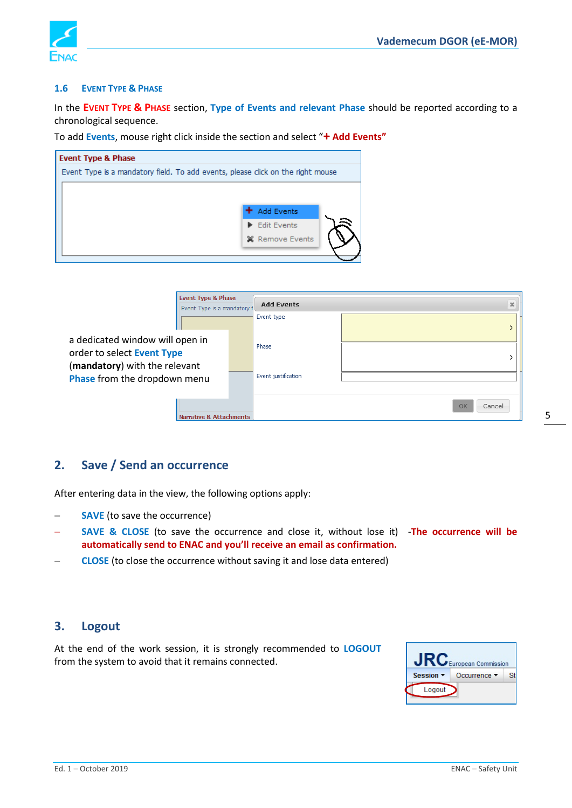

#### **1.6 EVENT TYPE & PHASE**

In the **EVENT TYPE & PHASE** section, **Type of Events and relevant Phase** should be reported according to a chronological sequence.

To add **Events**, mouse right click inside the section and select "**+ Add Events"**



| Event Type & Phase                                                                                                                                        | Event Type is a mandatory | <b>Add Events</b>   | $\infty$     |
|-----------------------------------------------------------------------------------------------------------------------------------------------------------|---------------------------|---------------------|--------------|
|                                                                                                                                                           |                           | Event type          |              |
| a dedicated window will open in<br>order to select Event Type<br>(mandatory) with the relevant<br>Phase from the dropdown menu<br>Narrative & Attachments |                           | Phase               |              |
|                                                                                                                                                           |                           | Event justification |              |
|                                                                                                                                                           |                           |                     | Cancel<br>OK |

# **2. Save / Send an occurrence**

After entering data in the view, the following options apply:

- **SAVE** (to save the occurrence)
- **SAVE & CLOSE** (to save the occurrence and close it, without lose it) -**The occurrence will be automatically send to ENAC and you'll receive an email as confirmation.**
- **CLOSE** (to close the occurrence without saving it and lose data entered)

## **3. Logout**

At the end of the work session, it is strongly recommended to **LOGOUT** from the system to avoid that it remains connected.

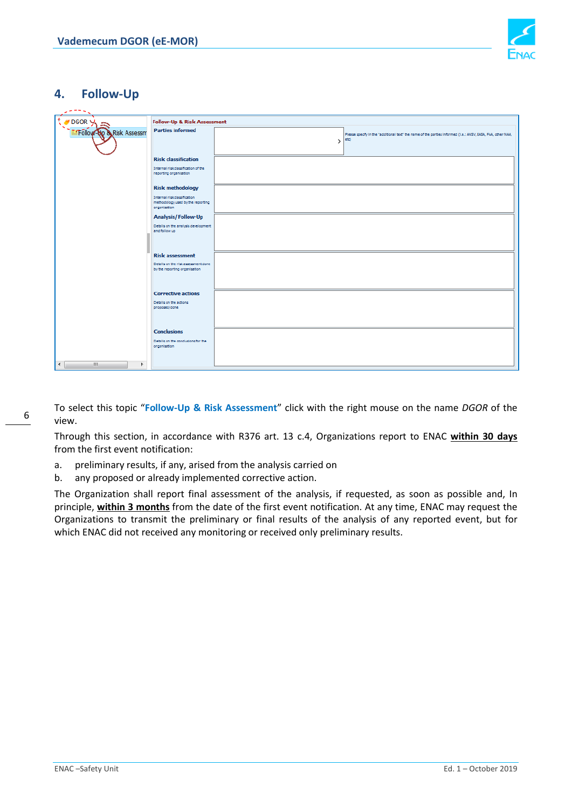

# **4. Follow-Up**

| --                                                                                                                                                                                                                                   |                                                                                                             |               |                                                                                                                     |  |  |
|--------------------------------------------------------------------------------------------------------------------------------------------------------------------------------------------------------------------------------------|-------------------------------------------------------------------------------------------------------------|---------------|---------------------------------------------------------------------------------------------------------------------|--|--|
| $\sqrt{\bullet}$ DGOR $\sim$                                                                                                                                                                                                         | Follow-Up & Risk Assessment                                                                                 |               |                                                                                                                     |  |  |
| <b>Extra During Contract Contract Contract Contract Contract Contract Contract Contract Contract Contract Contract Contract Contract Contract Contract Contract Contract Contract Contract Contract Contract Contract Contract C</b> | <b>Parties informed</b>                                                                                     | $\mathcal{L}$ | Please specify in the "additional text" the name of the parties informed (i.e.: ANSV, EASA, FAA, other NAA,<br>etc) |  |  |
|                                                                                                                                                                                                                                      | <b>Risk classification</b><br>Internal risk dassification of the<br>reporting organisation                  |               |                                                                                                                     |  |  |
|                                                                                                                                                                                                                                      | <b>Risk methodology</b><br>Internal risk dassification<br>methodology used by the reporting<br>organisation |               |                                                                                                                     |  |  |
|                                                                                                                                                                                                                                      | Analysis/Follow-Up<br>Details on the analysis development<br>and follow up                                  |               |                                                                                                                     |  |  |
|                                                                                                                                                                                                                                      | <b>Risk assessment</b><br>Details on the risk assessment done<br>by the reporting organisation              |               |                                                                                                                     |  |  |
|                                                                                                                                                                                                                                      | <b>Corrective actions</b><br>Details on the actions<br>proposed/done                                        |               |                                                                                                                     |  |  |
|                                                                                                                                                                                                                                      | <b>Conclusions</b><br>Details on the conclusions for the<br>organisation                                    |               |                                                                                                                     |  |  |
| $\mathbf{H}$<br>b.<br>$\overline{a}$                                                                                                                                                                                                 |                                                                                                             |               |                                                                                                                     |  |  |

To select this topic "**Follow-Up & Risk Assessment**" click with the right mouse on the name *DGOR* of the view.

Through this section, in accordance with R376 art. 13 c.4, Organizations report to ENAC **within 30 days** from the first event notification:

- a. preliminary results, if any, arised from the analysis carried on
- b. any proposed or already implemented corrective action.

The Organization shall report final assessment of the analysis, if requested, as soon as possible and, In principle, **within 3 months** from the date of the first event notification. At any time, ENAC may request the Organizations to transmit the preliminary or final results of the analysis of any reported event, but for which ENAC did not received any monitoring or received only preliminary results.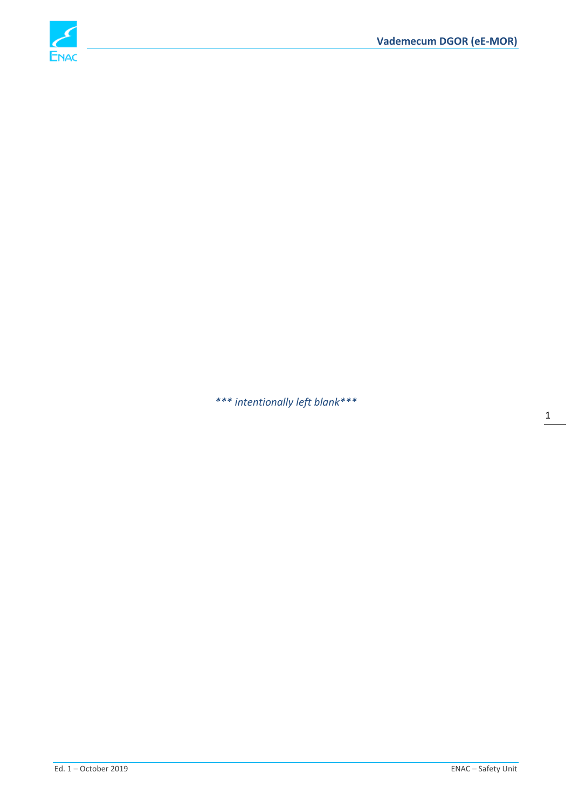

*\*\*\* intentionally left blank\*\*\**

1